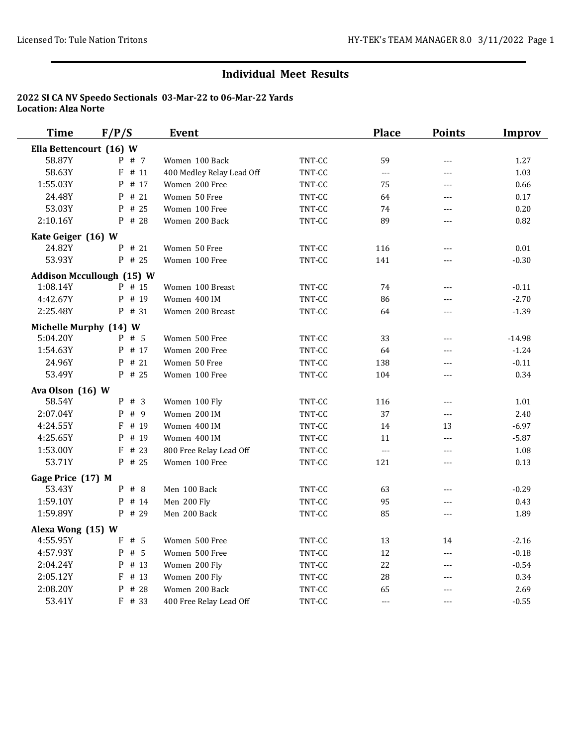## **Individual Meet Results**

## **2022 SI CA NV Speedo Sectionals 03-Mar-22 to 06-Mar-22 Yards Location: Alga Norte**

| <b>Time</b>                | F/P/S                            | <b>Event</b>                |                  | <b>Place</b>   | <b>Points</b>  | <b>Improv</b> |
|----------------------------|----------------------------------|-----------------------------|------------------|----------------|----------------|---------------|
| Ella Bettencourt (16) W    |                                  |                             |                  |                |                |               |
| 58.87Y                     | $P$ # 7                          | Women 100 Back              | TNT-CC           | 59             | $---$          | 1.27          |
| 58.63Y                     | $F$ # 11                         | 400 Medley Relay Lead Off   | TNT-CC           | $\overline{a}$ | $---$          | 1.03          |
| 1:55.03Y                   | $P$ # 17                         | Women 200 Free              | TNT-CC           | 75             | ---            | 0.66          |
| 24.48Y                     | $P$ # 21                         | Women 50 Free               | TNT-CC           | 64             | $---$          | 0.17          |
| 53.03Y                     | # 25<br>P                        | Women 100 Free              | TNT-CC           | 74             | ---            | $0.20\,$      |
| 2:10.16Y                   | P # 28                           | Women 200 Back              | TNT-CC           | 89             | ---            | 0.82          |
| Kate Geiger (16) W         |                                  |                             |                  |                |                |               |
| 24.82Y                     | P # 21                           | Women 50 Free               | TNT-CC           | 116            | $---$          | $0.01\,$      |
| 53.93Y                     | P # 25                           | Women 100 Free              | TNT-CC           | 141            | ---            | $-0.30$       |
|                            | <b>Addison Mccullough (15) W</b> |                             |                  |                |                |               |
| 1:08.14Y                   | P # 15                           | Women 100 Breast            | TNT-CC           | 74             | $---$          | $-0.11$       |
| 4:42.67Y                   | P # 19                           | Women 400 IM                | TNT-CC           | 86             | $- - -$        | $-2.70$       |
| 2:25.48Y                   | P # 31                           | Women 200 Breast            | TNT-CC           | 64             | $---$          | $-1.39$       |
| Michelle Murphy (14) W     |                                  |                             |                  |                |                |               |
| 5:04.20Y                   | $P$ # 5                          | Women 500 Free              | TNT-CC           | 33             | $---$          | $-14.98$      |
| 1:54.63Y                   | P # 17                           | Women 200 Free              | TNT-CC           | 64             | $- - -$        | $-1.24$       |
| 24.96Y                     | P # 21                           | Women 50 Free               | TNT-CC           | 138            | ---            | $-0.11$       |
| 53.49Y                     | P # 25                           | Women 100 Free              | TNT-CC           | 104            | $- - -$        | 0.34          |
|                            |                                  |                             |                  |                |                |               |
| Ava Olson (16) W<br>58.54Y | $P$ # 3                          | Women 100 Fly               | TNT-CC           | 116            | $\overline{a}$ | 1.01          |
| 2:07.04Y                   | P # 9                            | Women 200 IM                | TNT-CC           | 37             | $---$          | 2.40          |
| 4:24.55Y                   | # 19<br>F                        | Women 400 IM                | TNT-CC           | 14             | 13             | $-6.97$       |
| 4:25.65Y                   | P # 19                           | Women 400 IM                | TNT-CC           | 11             | $\overline{a}$ | $-5.87$       |
| 1:53.00Y                   | $F$ # 23                         | 800 Free Relay Lead Off     | TNT-CC           | $\overline{a}$ | $---$          | 1.08          |
| 53.71Y                     | $P$ # 25                         | Women 100 Free              | TNT-CC           | 121            | $---$          | 0.13          |
|                            |                                  |                             |                  |                |                |               |
| Gage Price (17) M          |                                  |                             |                  |                |                |               |
| 53.43Y                     | P # 8                            | Men 100 Back                | TNT-CC           | 63             | $---$          | $-0.29$       |
| 1:59.10Y<br>1:59.89Y       | P # 14<br>$P$ # 29               | Men 200 Fly<br>Men 200 Back | TNT-CC<br>TNT-CC | 95             | $---$          | 0.43          |
|                            |                                  |                             |                  | 85             | $---$          | 1.89          |
| Alexa Wong (15) W          |                                  |                             |                  |                |                |               |
| 4:55.95Y                   | $F$ # 5                          | Women 500 Free              | TNT-CC           | 13             | 14             | $-2.16$       |
| 4:57.93Y                   | P # 5                            | Women 500 Free              | TNT-CC           | 12             | $\overline{a}$ | $-0.18$       |
| 2:04.24Y                   | $P$ # 13                         | Women 200 Fly               | TNT-CC           | 22             | $- - -$        | $-0.54$       |
| 2:05.12Y                   | F<br># 13                        | Women 200 Fly               | TNT-CC           | 28             | $- - -$        | 0.34          |
| 2:08.20Y                   | # 28<br>P                        | Women 200 Back              | TNT-CC           | 65             |                | 2.69          |
| 53.41Y                     | F # 33                           | 400 Free Relay Lead Off     | TNT-CC           | $---$          | $- - -$        | $-0.55$       |